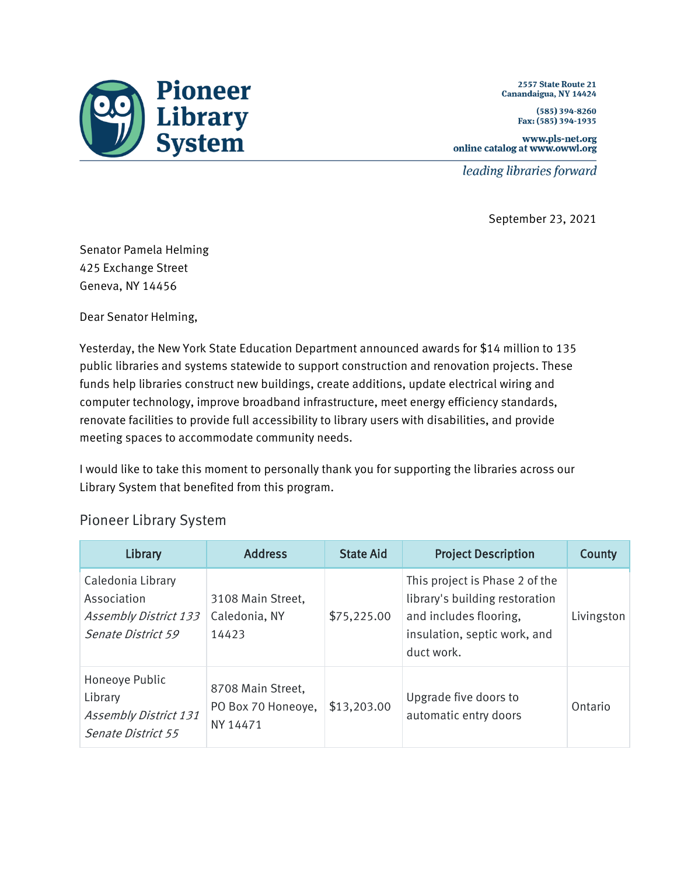

2557 State Route 21 Canandaigua, NY 14424

> $(585)$  394-8260 Fax: (585) 394-1935

www.pls-net.org online catalog at www.owwl.org

leading libraries forward

September 23, 2021

Senator Pamela Helming 425 Exchange Street Geneva, NY 14456

Dear Senator Helming,

Yesterday, the New York State Education Department announced awards for \$14 million to 135 public libraries and systems statewide to support construction and renovation projects. These funds help libraries construct new buildings, create additions, update electrical wiring and computer technology, improve broadband infrastructure, meet energy efficiency standards, renovate facilities to provide full accessibility to library users with disabilities, and provide meeting spaces to accommodate community needs.

I would like to take this moment to personally thank you for supporting the libraries across our Library System that benefited from this program.

## Pioneer Library System

| Library                                                                                | <b>Address</b>                                      | <b>State Aid</b> | <b>Project Description</b>                                                                                                               | County     |
|----------------------------------------------------------------------------------------|-----------------------------------------------------|------------------|------------------------------------------------------------------------------------------------------------------------------------------|------------|
| Caledonia Library<br>Association<br><b>Assembly District 133</b><br>Senate District 59 | 3108 Main Street,<br>Caledonia, NY<br>14423         | \$75,225.00      | This project is Phase 2 of the<br>library's building restoration<br>and includes flooring,<br>insulation, septic work, and<br>duct work. | Livingston |
| Honeoye Public<br>Library<br><b>Assembly District 131</b><br><b>Senate District 55</b> | 8708 Main Street,<br>PO Box 70 Honeoye,<br>NY 14471 | \$13,203.00      | Upgrade five doors to<br>automatic entry doors                                                                                           | Ontario    |